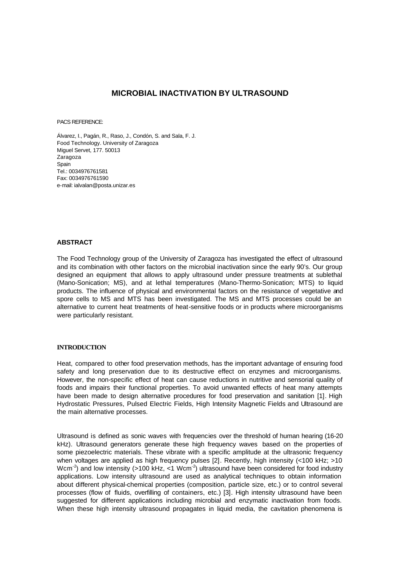# **MICROBIAL INACTIVATION BY ULTRASOUND**

PACS REFERENCE:

Álvarez, I., Pagán, R., Raso, J., Condón, S. and Sala, F. J. Food Technology. University of Zaragoza Miguel Servet, 177. 50013 Zaragoza Spain Tel.: 0034976761581 Fax: 0034976761590 e-mail: ialvalan@posta.unizar.es

#### **ABSTRACT**

The Food Technology group of the University of Zaragoza has investigated the effect of ultrasound and its combination with other factors on the microbial inactivation since the early 90's. Our group designed an equipment that allows to apply ultrasound under pressure treatments at sublethal (Mano-Sonication; MS), and at lethal temperatures (Mano-Thermo-Sonication; MTS) to liquid products. The influence of physical and environmental factors on the resistance of vegetative and spore cells to MS and MTS has been investigated. The MS and MTS processes could be an alternative to current heat treatments of heat-sensitive foods or in products where microorganisms were particularly resistant.

#### **INTRODUCTION**

Heat, compared to other food preservation methods, has the important advantage of ensuring food safety and long preservation due to its destructive effect on enzymes and microorganisms. However, the non-specific effect of heat can cause reductions in nutritive and sensorial quality of foods and impairs their functional properties. To avoid unwanted effects of heat many attempts have been made to design alternative procedures for food preservation and sanitation [1]. High Hydrostatic Pressures, Pulsed Electric Fields, High Intensity Magnetic Fields and Ultrasound are the main alternative processes.

Ultrasound is defined as sonic waves with frequencies over the threshold of human hearing (16-20 kHz). Ultrasound generators generate these high frequency waves based on the properties of some piezoelectric materials. These vibrate with a specific amplitude at the ultrasonic frequency when voltages are applied as high frequency pulses [2]. Recently, high intensity (<100 kHz; >10 Wcm<sup>-2</sup>) and low intensity (>100 kHz, <1 Wcm<sup>-2</sup>) ultrasound have been considered for food industry applications. Low intensity ultrasound are used as analytical techniques to obtain information about different physical-chemical properties (composition, particle size, etc.) or to control several processes (flow of fluids, overfilling of containers, etc.) [3]. High intensity ultrasound have been suggested for different applications including microbial and enzymatic inactivation from foods. When these high intensity ultrasound propagates in liquid media, the cavitation phenomena is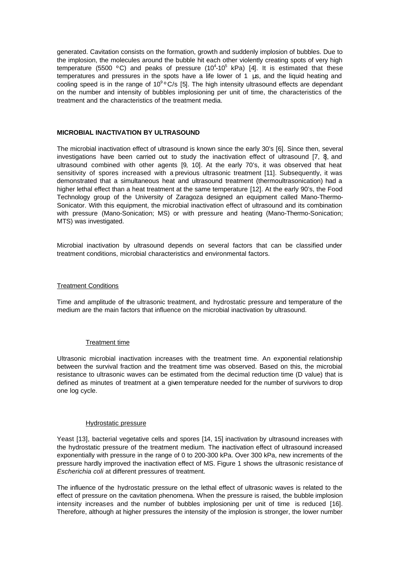generated. Cavitation consists on the formation, growth and suddenly implosion of bubbles. Due to the implosion, the molecules around the bubble hit each other violently creating spots of very high temperature (5500 °C) and peaks of pressure (10<sup>4</sup>-10<sup>5</sup> kPa) [4]. It is estimated that these temperatures and pressures in the spots have a life lower of 1 μs, and the liquid heating and cooling speed is in the range of  $10^9$ °C/s [5]. The high intensity ultrasound effects are dependant on the number and intensity of bubbles implosioning per unit of time, the characteristics of the treatment and the characteristics of the treatment media.

#### **MICROBIAL INACTIVATION BY ULTRASOUND**

The microbial inactivation effect of ultrasound is known since the early 30's [6]. Since then, several investigations have been carried out to study the inactivation effect of ultrasound  $[7, 8]$ , and ultrasound combined with other agents [9, 10]. At the early 70's, it was observed that heat sensitivity of spores increased with a previous ultrasonic treatment [11]. Subsequently, it was demonstrated that a simultaneous heat and ultrasound treatment (thermoultrasonication) had a higher lethal effect than a heat treatment at the same temperature [12]. At the early 90's, the Food Technology group of the University of Zaragoza designed an equipment called Mano-Thermo-Sonicator. With this equipment, the microbial inactivation effect of ultrasound and its combination with pressure (Mano-Sonication; MS) or with pressure and heating (Mano-Thermo-Sonication; MTS) was investigated.

Microbial inactivation by ultrasound depends on several factors that can be classified under treatment conditions, microbial characteristics and environmental factors.

#### Treatment Conditions

Time and amplitude of the ultrasonic treatment, and hydrostatic pressure and temperature of the medium are the main factors that influence on the microbial inactivation by ultrasound.

# Treatment time

Ultrasonic microbial inactivation increases with the treatment time. An exponential relationship between the survival fraction and the treatment time was observed. Based on this, the microbial resistance to ultrasonic waves can be estimated from the decimal reduction time (D value) that is defined as minutes of treatment at a given temperature needed for the number of survivors to drop one log cycle.

#### Hydrostatic pressure

Yeast [13], bacterial vegetative cells and spores [14, 15] inactivation by ultrasound increases with the hydrostatic pressure of the treatment medium. The inactivation effect of ultrasound increased exponentially with pressure in the range of 0 to 200-300 kPa. Over 300 kPa, new increments of the pressure hardly improved the inactivation effect of MS. Figure 1 shows the ultrasonic resistance of *Escherichia coli* at different pressures of treatment.

The influence of the hydrostatic pressure on the lethal effect of ultrasonic waves is related to the effect of pressure on the cavitation phenomena. When the pressure is raised, the bubble implosion intensity increases and the number of bubbles implosioning per unit of time is reduced [16]. Therefore, although at higher pressures the intensity of the implosion is stronger, the lower number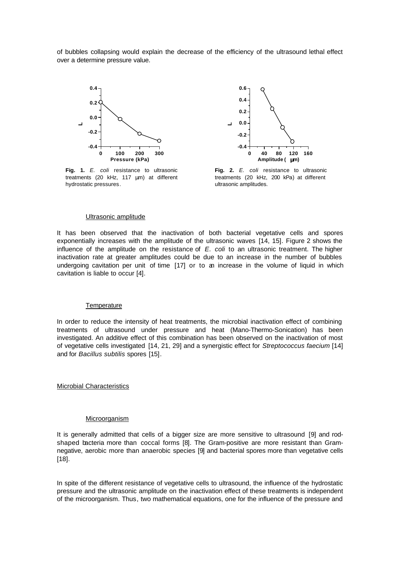of bubbles collapsing would explain the decrease of the efficiency of the ultrasound lethal effect over a determine pressure value.



**Fig. 1.** *E. coli* resistance to ultrasonic treatments (20 kHz, 117 μm) at different hydrostatic pressures.



**Fig. 2.** *E. coli* resistance to ultrasonic treatments (20 kHz, 200 kPa) at different ultrasonic amplitudes.

#### Ultrasonic amplitude

It has been observed that the inactivation of both bacterial vegetative cells and spores exponentially increases with the amplitude of the ultrasonic waves [14, 15]. Figure 2 shows the influence of the amplitude on the resistance of *E. coli* to an ultrasonic treatment. The higher inactivation rate at greater amplitudes could be due to an increase in the number of bubbles undergoing cavitation per unit of time [17] or to an increase in the volume of liquid in which cavitation is liable to occur [4].

#### **Temperature**

In order to reduce the intensity of heat treatments, the microbial inactivation effect of combining treatments of ultrasound under pressure and heat (Mano-Thermo-Sonication) has been investigated. An additive effect of this combination has been observed on the inactivation of most of vegetative cells investigated [14, 21, 29] and a synergistic effect for *Streptococcus faecium* [14] and for *Bacillus subtilis* spores [15].

#### Microbial Characteristics

#### Microorganism

It is generally admitted that cells of a bigger size are more sensitive to ultrasound [9] and rodshaped bacteria more than coccal forms [8]. The Gram-positive are more resistant than Gramnegative, aerobic more than anaerobic species [9] and bacterial spores more than vegetative cells [18].

In spite of the different resistance of vegetative cells to ultrasound, the influence of the hydrostatic pressure and the ultrasonic amplitude on the inactivation effect of these treatments is independent of the microorganism. Thus, two mathematical equations, one for the influence of the pressure and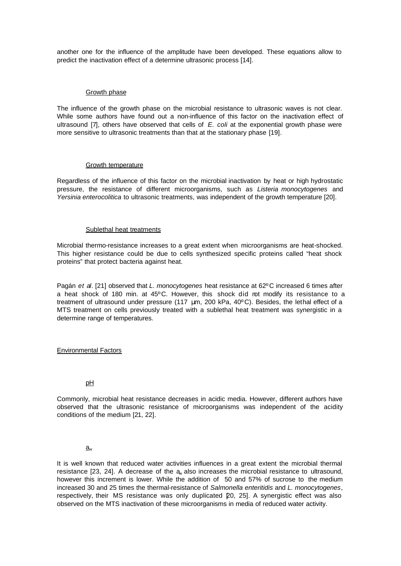another one for the influence of the amplitude have been developed. These equations allow to predict the inactivation effect of a determine ultrasonic process [14].

# Growth phase

The influence of the growth phase on the microbial resistance to ultrasonic waves is not clear. While some authors have found out a non-influence of this factor on the inactivation effect of ultrasound [7], others have observed that cells of *E. coli* at the exponential growth phase were more sensitive to ultrasonic treatments than that at the stationary phase [19].

# Growth temperature

Regardless of the influence of this factor on the microbial inactivation by heat or high hydrostatic pressure, the resistance of different microorganisms, such as *Listeria monocytogenes* and *Yersinia enterocolitica* to ultrasonic treatments, was independent of the growth temperature [20].

# Sublethal heat treatments

Microbial thermo-resistance increases to a great extent when microorganisms are heat-shocked. This higher resistance could be due to cells synthesized specific proteins called "heat shock proteins" that protect bacteria against heat.

Pagán *et al*. [21] observed that *L. monocytogenes* heat resistance at 62ºC increased 6 times after a heat shock of 180 min. at 45ºC. However, this shock did not modify its resistance to a treatment of ultrasound under pressure (117 μm, 200 kPa, 40ºC). Besides, the lethal effect of a MTS treatment on cells previously treated with a sublethal heat treatment was synergistic in a determine range of temperatures.

# Environmental Factors

# pH

Commonly, microbial heat resistance decreases in acidic media. However, different authors have observed that the ultrasonic resistance of microorganisms was independent of the acidity conditions of the medium [21, 22].

# $a_{w}$

It is well known that reduced water activities influences in a great extent the microbial thermal resistance [23, 24]. A decrease of the a also increases the microbial resistance to ultrasound, however this increment is lower. While the addition of 50 and 57% of sucrose to the medium increased 30 and 25 times the thermal-resistance of *Salmonella enteritidis* and *L. monocytogenes*, respectively, their MS resistance was only duplicated [20, 25]. A synergistic effect was also observed on the MTS inactivation of these microorganisms in media of reduced water activity.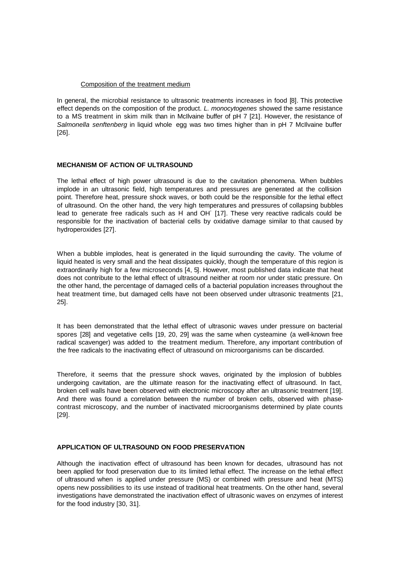# Composition of the treatment medium

In general, the microbial resistance to ultrasonic treatments increases in food [8]. This protective effect depends on the composition of the product. *L. monocytogenes* showed the same resistance to a MS treatment in skim milk than in McIlvaine buffer of pH 7 [21]. However, the resistance of *Salmonella senftenberg* in liquid whole egg was two times higher than in pH 7 McIlvaine buffer [26].

# **MECHANISM OF ACTION OF ULTRASOUND**

The lethal effect of high power ultrasound is due to the cavitation phenomena. When bubbles implode in an ultrasonic field, high temperatures and pressures are generated at the collision point. Therefore heat, pressure shock waves, or both could be the responsible for the lethal effect of ultrasound. On the other hand, the very high temperatures and pressures of collapsing bubbles lead to generate free radicals such as H<sup>\*</sup> and OH<sup>\*</sup> [17]. These very reactive radicals could be responsible for the inactivation of bacterial cells by oxidative damage similar to that caused by hydroperoxides [27].

When a bubble implodes, heat is generated in the liquid surrounding the cavity. The volume of liquid heated is very small and the heat dissipates quickly, though the temperature of this region is extraordinarily high for a few microseconds [4, 5]. However, most published data indicate that heat does not contribute to the lethal effect of ultrasound neither at room nor under static pressure. On the other hand, the percentage of damaged cells of a bacterial population increases throughout the heat treatment time, but damaged cells have not been observed under ultrasonic treatments [21, 25].

It has been demonstrated that the lethal effect of ultrasonic waves under pressure on bacterial spores [28] and vegetative cells [19, 20, 29] was the same when cysteamine (a well-known free radical scavenger) was added to the treatment medium. Therefore, any important contribution of the free radicals to the inactivating effect of ultrasound on microorganisms can be discarded.

Therefore, it seems that the pressure shock waves, originated by the implosion of bubbles undergoing cavitation, are the ultimate reason for the inactivating effect of ultrasound. In fact, broken cell walls have been observed with electronic microscopy after an ultrasonic treatment [19]. And there was found a correlation between the number of broken cells, observed with phasecontrast microscopy, and the number of inactivated microorganisms determined by plate counts [29].

# **APPLICATION OF ULTRASOUND ON FOOD PRESERVATION**

Although the inactivation effect of ultrasound has been known for decades, ultrasound has not been applied for food preservation due to its limited lethal effect. The increase on the lethal effect of ultrasound when is applied under pressure (MS) or combined with pressure and heat (MTS) opens new possibilities to its use instead of traditional heat treatments. On the other hand, several investigations have demonstrated the inactivation effect of ultrasonic waves on enzymes of interest for the food industry [30, 31].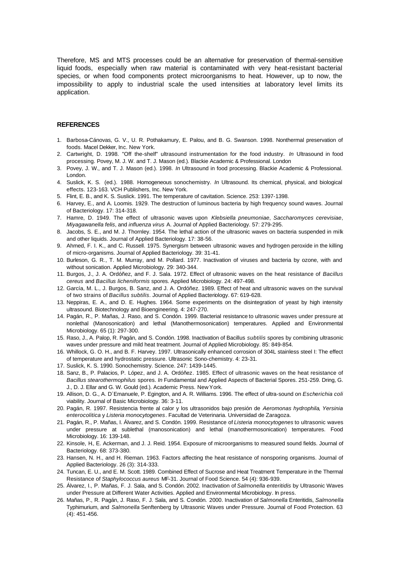Therefore, MS and MTS processes could be an alternative for preservation of thermal-sensitive liquid foods, especially when raw material is contaminated with very heat-resistant bacterial species, or when food components protect microorganisms to heat. However, up to now, the impossibility to apply to industrial scale the used intensities at laboratory level limits its application.

#### **REFERENCES**

- 1. Barbosa-Cánovas, G. V., U. R. Pothakamury, E. Palou, and B. G. Swanson. 1998. Nonthermal preservation of foods. Macel Dekker, Inc. New York.
- 2. Cartwright, D. 1998. "Off the-shelf" ultrasound instrumentation for the food industry. *In* Ultrasound in food processing. Povey, M. J. W. and T. J. Mason (ed.). Blackie Academic & Professional. London
- 3. Povey, J. W., and T. J. Mason (ed.). 1998. *In* Ultrasound in food processing. Blackie Academic & Professional. London.
- 4. Suslick, K. S. (ed.). 1988. Homogeneous sonochemistry. *In* Ultrasound. Its chemical, physical, and biological effects. 123-163. VCH Publishers, Inc. New York.
- 5. Flint, E. B., and K. S. Suslick. 1991. The temperature of cavitation. Science. 253: 1397-1398.
- 6. Harvey, E., and A. Loomis. 1929. The destruction of luminous bacteria by high frequency sound waves. Journal of Bacteriology. 17: 314-318.
- 7. Hamre, D. 1949. The effect of ultrasonic waves upon *Klebsiella pneumoniae*, *Saccharomyces cerevisiae*, *Miyagawanella felis*, and *influenza virus* A. Journal of Applied Bacteriology. 57: 279-295.
- 8. Jacobs, S. E., and M. J. Thornley. 1954. The lethal action of the ultrasonic waves on bacteria suspended in milk and other liquids. Journal of Applied Bacteriology. 17: 38-56.
- 9. Ahmed, F. I. K., and C. Russell. 1975. Synergism between ultrasonic waves and hydrogen peroxide in the killing of micro-organisms. Journal of Applied Bacteriology. 39: 31-41.
- 10. Burleson, G. R., T. M. Murray, and M. Pollard. 1977. Inactivation of viruses and bacteria by ozone, with and without sonication. Applied Microbiology. 29: 340-344.
- 11. Burgos, J., J. A. Ordóñez, and F. J. Sala. 1972. Effect of ultrasonic waves on the heat resistance of *Bacillus cereus* and *Bacillus licheniformis* spores. Applied Microbiology. 24: 497-498.
- 12. García, M. L., J. Burgos, B. Sanz, and J. A. Ordóñez. 1989. Effect of heat and ultrasonic waves on the survival of two strains of *Bacillus subtilis*. Journal of Applied Bacteriology. 67: 619-628.
- 13. Neppiras, E. A., and D. E. Hughes. 1964. Some experiments on the disintegration of yeast by high intensity ultrasound. Biotechnology and Bioengineering. 4: 247-270.
- 14. Pagán, R., P. Mañas, J. Raso, and S. Condón. 1999. Bacterial resistance to ultrasonic waves under pressure at nonlethal (Manosonication) and lethal (Manothermosonication) temperatures. Applied and Environmental Microbiology. 65 (1): 297-300.
- 15. Raso, J., A. Palop, R. Pagán, and S. Condón. 1998. Inactivation of Bacillus *subtilis* spores by combining ultrasonic waves under pressure and mild heat treatment. Journal of Applied Microbiology. 85: 849-854.
- 16. Whillock, G. O. H., and B. F. Harvey. 1997. Ultrasonically enhanced corrosion of 304L stainless steel I: The effect of temperature and hydrostatic pressure. Ultrasonic Sono-chemistry. 4: 23-31.
- 17. Suslick, K. S. 1990. Sonochemistry. Science. 247: 1439-1445.
- 18. Sanz, B., P. Palacios, P. López, and J. A. Ordóñez. 1985. Effect of ultrasonic waves on the heat resistance of *Bacillus stearothermophilus* spores. *In* Fundamental and Applied Aspects of Bacterial Spores. 251-259. Dring, G. J., D. J. Ellar and G. W. Gould (ed.). Academic Press. New York.
- 19. Allison, D. G., A. D´Emanuele, P. Egington, and A. R. Williams. 1996. The effect of ultra-sound on *Escherichia coli* viability. Journal of Basic Microbiology. 36: 3-11.
- 20. Pagán, R. 1997. Resistencia frente al calor y los ultrasonidos bajo presión de *Aeromonas hydrophila*, *Yersinia enterocolitica* y *Listeria monocytogenes*. Facultad de Veterinaria. Universidad de Zaragoza.
- 21. Pagán, R., P. Mañas, I. Álvarez, and S. Condón. 1999. Resistance of *Listeria monocytogenes* to ultrasonic waves under pressure at sublethal (manosonication) and lethal (manothermosonication) temperatures. Food Microbiology. 16: 139-148.
- 22. Kinsole, H., E. Ackerman, and J. J. Reid. 1954. Exposure of microorganisms to measured sound fields. Journal of Bacteriology. 68: 373-380.
- 23. Hansen, N. H., and H. Rieman. 1963. Factors affecting the heat resistance of nonsporing organisms. Journal of Applied Bacteriology. 26 (3): 314-333.
- 24. Tuncan, E. U., and E. M. Scott. 1989. Combined Effect of Sucrose and Heat Treatment Temperature in the Thermal Resistance of *Staphylococcus aureus* MF-31. Journal of Food Science. 54 (4): 936-939.
- 25. Álvarez, I., P. Mañas, F. J. Sala, and S. Condón. 2002. Inactivation of *Salmonella enteritidis* by Ultrasonic Waves under Pressure at Different Water Activities. Applied and Environmental Microbiology. In press.
- 26. Mañas, P., R. Pagán, J. Raso, F. J. Sala, and S. Condón. 2000. Inactivation of *Salmonella* Enteritidis, *Salmonella* Typhimurium, and *Salmonella* Senftenberg by Ultrasonic Waves under Pressure. Journal of Food Protection. 63 (4): 451-456.